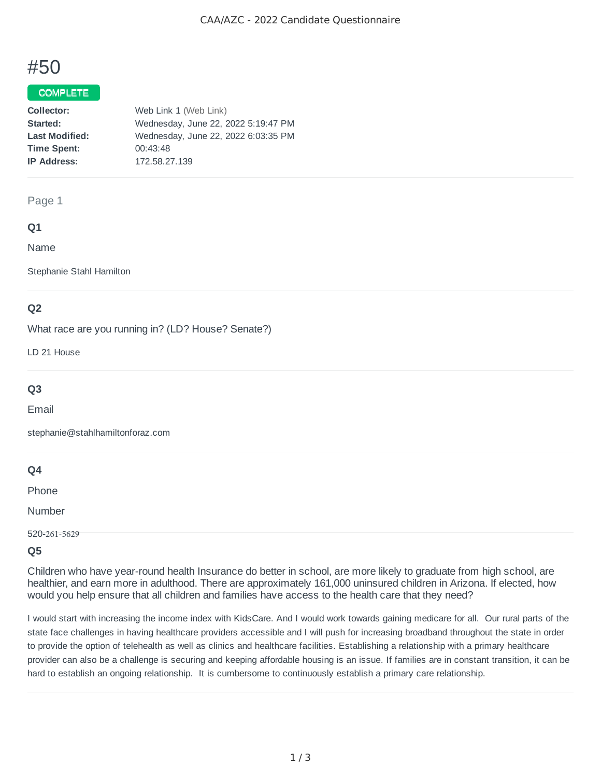# #50

## COMPLETE

| Web Link 1 (Web Link)               |
|-------------------------------------|
| Wednesday, June 22, 2022 5:19:47 PM |
| Wednesday, June 22, 2022 6:03:35 PM |
| 00:43:48                            |
| 172.58.27.139                       |
|                                     |

#### Page 1

# **Q1**

Name

Stephanie Stahl Hamilton

# **Q2**

What race are you running in? (LD? House? Senate?)

LD 21 House

# **Q3**

Email

stephanie@stahlhamiltonforaz.com

# **Q4**

Phone

Number

520-261-5629

#### **Q5**

Children who have year-round health Insurance do better in school, are more likely to graduate from high school, are healthier, and earn more in adulthood. There are approximately 161,000 uninsured children in Arizona. If elected, how would you help ensure that all children and families have access to the health care that they need?

I would start with increasing the income index with KidsCare. And I would work towards gaining medicare for all. Our rural parts of the state face challenges in having healthcare providers accessible and I will push for increasing broadband throughout the state in order to provide the option of telehealth as well as clinics and healthcare facilities. Establishing a relationship with a primary healthcare provider can also be a challenge is securing and keeping affordable housing is an issue. If families are in constant transition, it can be hard to establish an ongoing relationship. It is cumbersome to continuously establish a primary care relationship.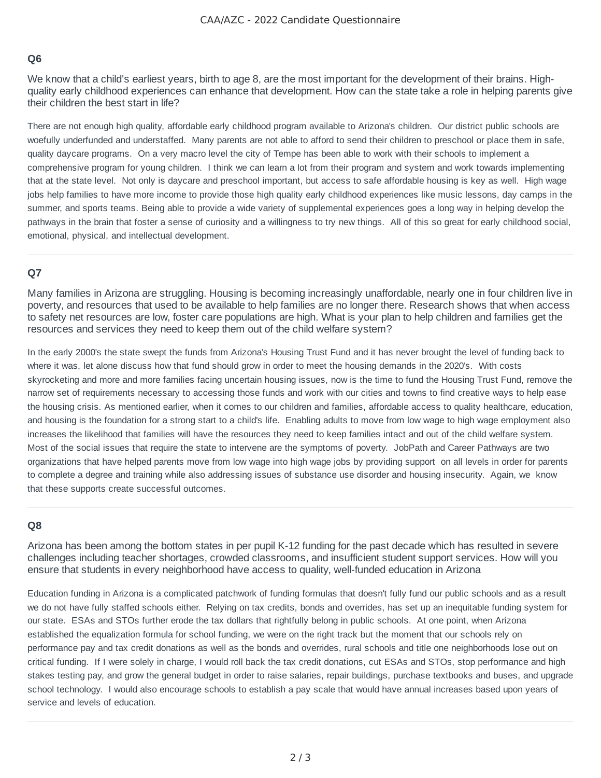## **Q6**

We know that a child's earliest years, birth to age 8, are the most important for the development of their brains. Highquality early childhood experiences can enhance that development. How can the state take a role in helping parents give their children the best start in life?

There are not enough high quality, affordable early childhood program available to Arizona's children. Our district public schools are woefully underfunded and understaffed. Many parents are not able to afford to send their children to preschool or place them in safe, quality daycare programs. On a very macro level the city of Tempe has been able to work with their schools to implement a comprehensive program for young children. I think we can learn a lot from their program and system and work towards implementing that at the state level. Not only is daycare and preschool important, but access to safe affordable housing is key as well. High wage jobs help families to have more income to provide those high quality early childhood experiences like music lessons, day camps in the summer, and sports teams. Being able to provide a wide variety of supplemental experiences goes a long way in helping develop the pathways in the brain that foster a sense of curiosity and a willingness to try new things. All of this so great for early childhood social, emotional, physical, and intellectual development.

# **Q7**

Many families in Arizona are struggling. Housing is becoming increasingly unaffordable, nearly one in four children live in poverty, and resources that used to be available to help families are no longer there. Research shows that when access to safety net resources are low, foster care populations are high. What is your plan to help children and families get the resources and services they need to keep them out of the child welfare system?

In the early 2000's the state swept the funds from Arizona's Housing Trust Fund and it has never brought the level of funding back to where it was, let alone discuss how that fund should grow in order to meet the housing demands in the 2020's. With costs skyrocketing and more and more families facing uncertain housing issues, now is the time to fund the Housing Trust Fund, remove the narrow set of requirements necessary to accessing those funds and work with our cities and towns to find creative ways to help ease the housing crisis. As mentioned earlier, when it comes to our children and families, affordable access to quality healthcare, education, and housing is the foundation for a strong start to a child's life. Enabling adults to move from low wage to high wage employment also increases the likelihood that families will have the resources they need to keep families intact and out of the child welfare system. Most of the social issues that require the state to intervene are the symptoms of poverty. JobPath and Career Pathways are two organizations that have helped parents move from low wage into high wage jobs by providing support on all levels in order for parents to complete a degree and training while also addressing issues of substance use disorder and housing insecurity. Again, we know that these supports create successful outcomes.

# **Q8**

Arizona has been among the bottom states in per pupil K-12 funding for the past decade which has resulted in severe challenges including teacher shortages, crowded classrooms, and insufficient student support services. How will you ensure that students in every neighborhood have access to quality, well-funded education in Arizona

Education funding in Arizona is a complicated patchwork of funding formulas that doesn't fully fund our public schools and as a result we do not have fully staffed schools either. Relying on tax credits, bonds and overrides, has set up an inequitable funding system for our state. ESAs and STOs further erode the tax dollars that rightfully belong in public schools. At one point, when Arizona established the equalization formula for school funding, we were on the right track but the moment that our schools rely on performance pay and tax credit donations as well as the bonds and overrides, rural schools and title one neighborhoods lose out on critical funding. If I were solely in charge, I would roll back the tax credit donations, cut ESAs and STOs, stop performance and high stakes testing pay, and grow the general budget in order to raise salaries, repair buildings, purchase textbooks and buses, and upgrade school technology. I would also encourage schools to establish a pay scale that would have annual increases based upon years of service and levels of education.